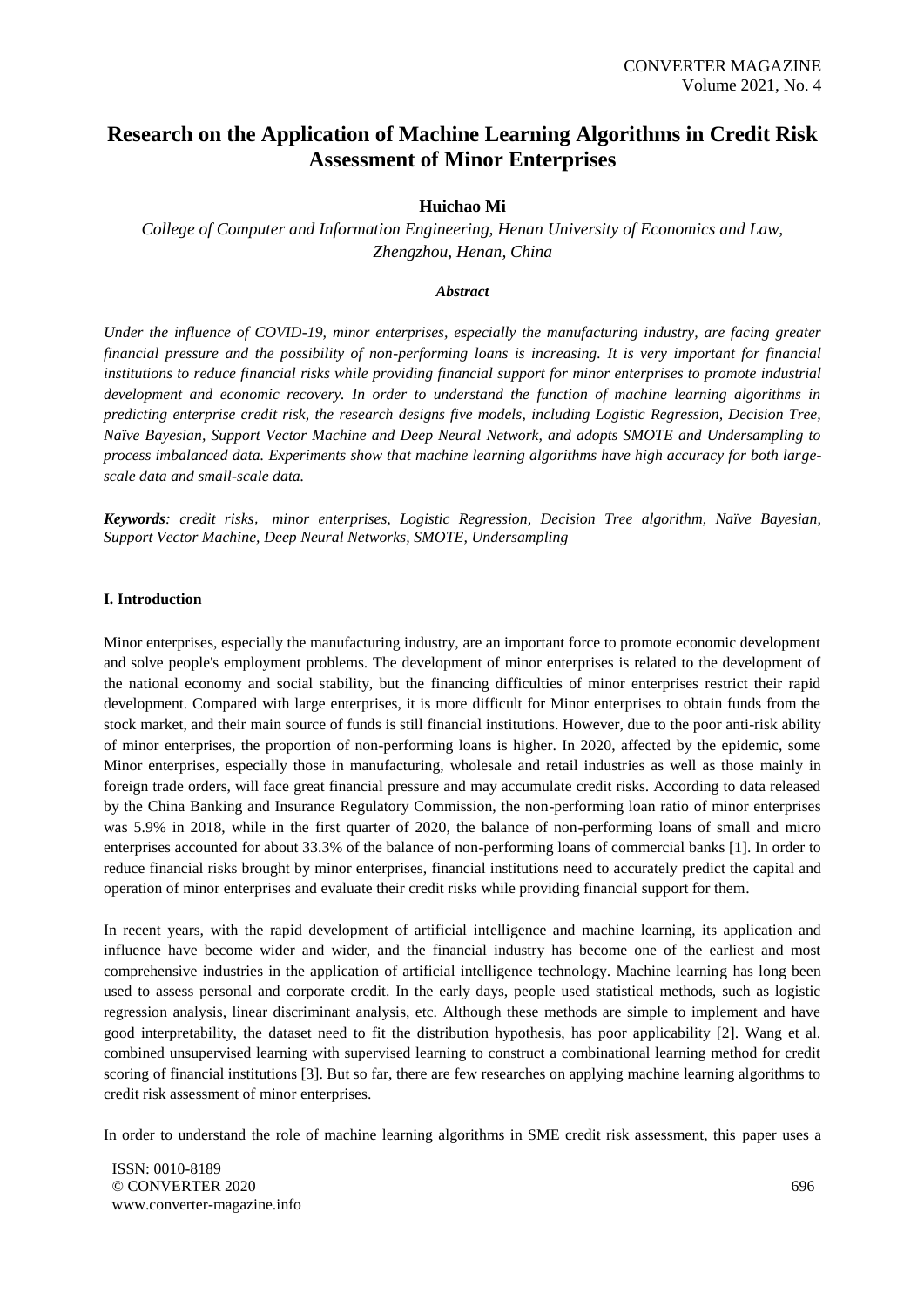# **Research on the Application of Machine Learning Algorithms in Credit Risk Assessment of Minor Enterprises**

## **Huichao Mi**

*College of Computer and Information Engineering, Henan University of Economics and Law, Zhengzhou, Henan, China*

#### *Abstract*

*Under the influence of COVID-19, minor enterprises, especially the manufacturing industry, are facing greater financial pressure and the possibility of non-performing loans is increasing. It is very important for financial institutions to reduce financial risks while providing financial support for minor enterprises to promote industrial development and economic recovery. In order to understand the function of machine learning algorithms in predicting enterprise credit risk, the research designs five models, including Logistic Regression, Decision Tree, Naïve Bayesian, Support Vector Machine and Deep Neural Network, and adopts SMOTE and Undersampling to process imbalanced data. Experiments show that machine learning algorithms have high accuracy for both largescale data and small-scale data.*

*Keywords: credit risks*, *minor enterprises, Logistic Regression, Decision Tree algorithm, Naïve Bayesian, Support Vector Machine, Deep Neural Networks, SMOTE, Undersampling*

#### **I. Introduction**

Minor enterprises, especially the manufacturing industry, are an important force to promote economic development and solve people's employment problems. The development of minor enterprises is related to the development of the national economy and social stability, but the financing difficulties of minor enterprises restrict their rapid development. Compared with large enterprises, it is more difficult for Minor enterprises to obtain funds from the stock market, and their main source of funds is still financial institutions. However, due to the poor anti-risk ability of minor enterprises, the proportion of non-performing loans is higher. In 2020, affected by the epidemic, some Minor enterprises, especially those in manufacturing, wholesale and retail industries as well as those mainly in foreign trade orders, will face great financial pressure and may accumulate credit risks. According to data released by the China Banking and Insurance Regulatory Commission, the non-performing loan ratio of minor enterprises was 5.9% in 2018, while in the first quarter of 2020, the balance of non-performing loans of small and micro enterprises accounted for about 33.3% of the balance of non-performing loans of commercial banks [1]. In order to reduce financial risks brought by minor enterprises, financial institutions need to accurately predict the capital and operation of minor enterprises and evaluate their credit risks while providing financial support for them.

In recent years, with the rapid development of artificial intelligence and machine learning, its application and influence have become wider and wider, and the financial industry has become one of the earliest and most comprehensive industries in the application of artificial intelligence technology. Machine learning has long been used to assess personal and corporate credit. In the early days, people used statistical methods, such as logistic regression analysis, linear discriminant analysis, etc. Although these methods are simple to implement and have good interpretability, the dataset need to fit the distribution hypothesis, has poor applicability [2]. Wang et al. combined unsupervised learning with supervised learning to construct a combinational learning method for credit scoring of financial institutions [3]. But so far, there are few researches on applying machine learning algorithms to credit risk assessment of minor enterprises.

In order to understand the role of machine learning algorithms in SME credit risk assessment, this paper uses a

ISSN: 0010-8189 © CONVERTER 2020 www.converter-magazine.info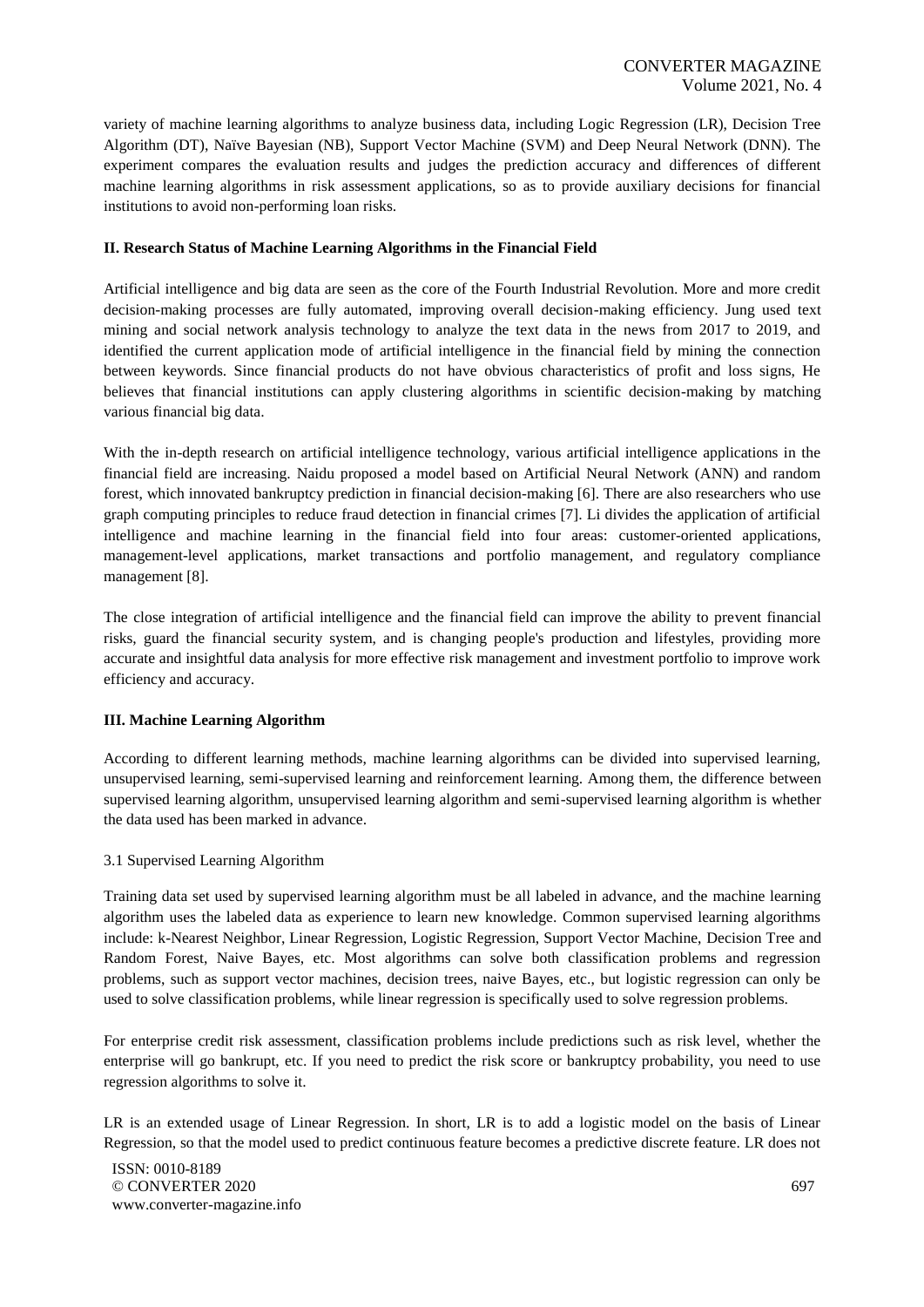variety of machine learning algorithms to analyze business data, including Logic Regression (LR), Decision Tree Algorithm (DT), Naïve Bayesian (NB), Support Vector Machine (SVM) and Deep Neural Network (DNN). The experiment compares the evaluation results and judges the prediction accuracy and differences of different machine learning algorithms in risk assessment applications, so as to provide auxiliary decisions for financial institutions to avoid non-performing loan risks.

## **II. Research Status of Machine Learning Algorithms in the Financial Field**

Artificial intelligence and big data are seen as the core of the Fourth Industrial Revolution. More and more credit decision-making processes are fully automated, improving overall decision-making efficiency. Jung used text mining and social network analysis technology to analyze the text data in the news from 2017 to 2019, and identified the current application mode of artificial intelligence in the financial field by mining the connection between keywords. Since financial products do not have obvious characteristics of profit and loss signs, He believes that financial institutions can apply clustering algorithms in scientific decision-making by matching various financial big data.

With the in-depth research on artificial intelligence technology, various artificial intelligence applications in the financial field are increasing. Naidu proposed a model based on Artificial Neural Network (ANN) and random forest, which innovated bankruptcy prediction in financial decision-making [6]. There are also researchers who use graph computing principles to reduce fraud detection in financial crimes [7]. Li divides the application of artificial intelligence and machine learning in the financial field into four areas: customer-oriented applications, management-level applications, market transactions and portfolio management, and regulatory compliance management [8].

The close integration of artificial intelligence and the financial field can improve the ability to prevent financial risks, guard the financial security system, and is changing people's production and lifestyles, providing more accurate and insightful data analysis for more effective risk management and investment portfolio to improve work efficiency and accuracy.

#### **III. Machine Learning Algorithm**

According to different learning methods, machine learning algorithms can be divided into supervised learning, unsupervised learning, semi-supervised learning and reinforcement learning. Among them, the difference between supervised learning algorithm, unsupervised learning algorithm and semi-supervised learning algorithm is whether the data used has been marked in advance.

## 3.1 Supervised Learning Algorithm

Training data set used by supervised learning algorithm must be all labeled in advance, and the machine learning algorithm uses the labeled data as experience to learn new knowledge. Common supervised learning algorithms include: k-Nearest Neighbor, Linear Regression, Logistic Regression, Support Vector Machine, Decision Tree and Random Forest, Naive Bayes, etc. Most algorithms can solve both classification problems and regression problems, such as support vector machines, decision trees, naive Bayes, etc., but logistic regression can only be used to solve classification problems, while linear regression is specifically used to solve regression problems.

For enterprise credit risk assessment, classification problems include predictions such as risk level, whether the enterprise will go bankrupt, etc. If you need to predict the risk score or bankruptcy probability, you need to use regression algorithms to solve it.

LR is an extended usage of Linear Regression. In short, LR is to add a logistic model on the basis of Linear Regression, so that the model used to predict continuous feature becomes a predictive discrete feature. LR does not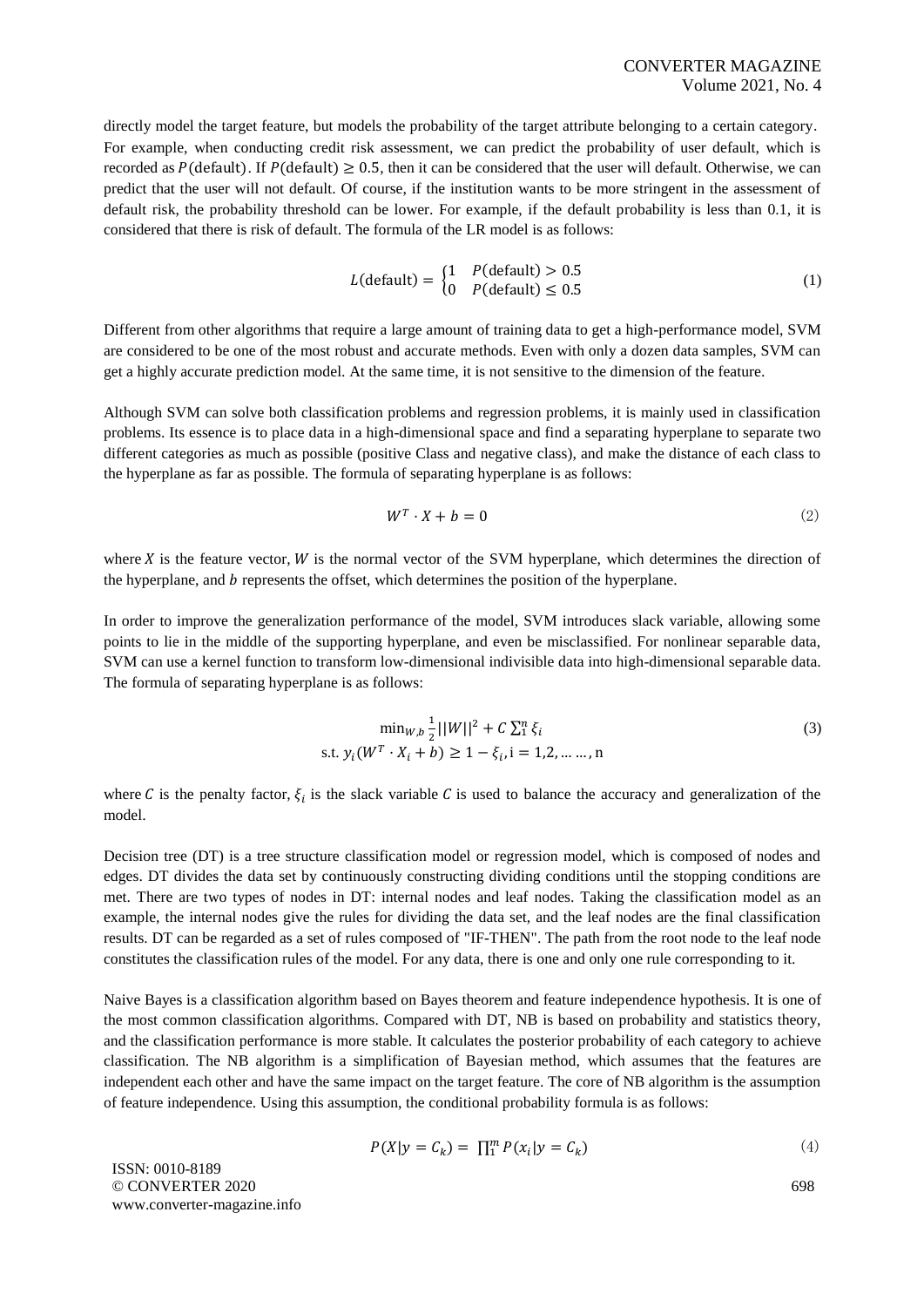directly model the target feature, but models the probability of the target attribute belonging to a certain category. For example, when conducting credit risk assessment, we can predict the probability of user default, which is recorded as  $P$ (default). If  $P$ (default)  $\geq 0.5$ , then it can be considered that the user will default. Otherwise, we can predict that the user will not default. Of course, if the institution wants to be more stringent in the assessment of default risk, the probability threshold can be lower. For example, if the default probability is less than 0.1, it is considered that there is risk of default. The formula of the LR model is as follows:

$$
L(\text{default}) = \begin{cases} 1 & P(\text{default}) > 0.5 \\ 0 & P(\text{default}) \le 0.5 \end{cases}
$$
 (1)

Different from other algorithms that require a large amount of training data to get a high-performance model, SVM are considered to be one of the most robust and accurate methods. Even with only a dozen data samples, SVM can get a highly accurate prediction model. At the same time, it is not sensitive to the dimension of the feature.

Although SVM can solve both classification problems and regression problems, it is mainly used in classification problems. Its essence is to place data in a high-dimensional space and find a separating hyperplane to separate two different categories as much as possible (positive Class and negative class), and make the distance of each class to the hyperplane as far as possible. The formula of separating hyperplane is as follows:

$$
W^T \cdot X + b = 0 \tag{2}
$$

where  $X$  is the feature vector,  $W$  is the normal vector of the SVM hyperplane, which determines the direction of the hyperplane, and  $b$  represents the offset, which determines the position of the hyperplane.

In order to improve the generalization performance of the model, SVM introduces slack variable, allowing some points to lie in the middle of the supporting hyperplane, and even be misclassified. For nonlinear separable data, SVM can use a kernel function to transform low-dimensional indivisible data into high-dimensional separable data. The formula of separating hyperplane is as follows:

$$
\min_{W,b} \frac{1}{2} ||W||^2 + C \sum_{i=1}^{n} \xi_i
$$
  
s.t.  $y_i(W^T \cdot X_i + b) \ge 1 - \xi_i, i = 1, 2, \dots, n$  (3)

where C is the penalty factor,  $\xi_i$  is the slack variable C is used to balance the accuracy and generalization of the model.

Decision tree (DT) is a tree structure classification model or regression model, which is composed of nodes and edges. DT divides the data set by continuously constructing dividing conditions until the stopping conditions are met. There are two types of nodes in DT: internal nodes and leaf nodes. Taking the classification model as an example, the internal nodes give the rules for dividing the data set, and the leaf nodes are the final classification results. DT can be regarded as a set of rules composed of "IF-THEN". The path from the root node to the leaf node constitutes the classification rules of the model. For any data, there is one and only one rule corresponding to it.

Naive Bayes is a classification algorithm based on Bayes theorem and feature independence hypothesis. It is one of the most common classification algorithms. Compared with DT, NB is based on probability and statistics theory, and the classification performance is more stable. It calculates the posterior probability of each category to achieve classification. The NB algorithm is a simplification of Bayesian method, which assumes that the features are independent each other and have the same impact on the target feature. The core of NB algorithm is the assumption of feature independence. Using this assumption, the conditional probability formula is as follows:

$$
P(X|y = C_k) = \prod_{i=1}^{m} P(x_i|y = C_k)
$$
\n<sup>(4)</sup>

ISSN: 0010-8189 © CONVERTER 2020 www.converter-magazine.info

698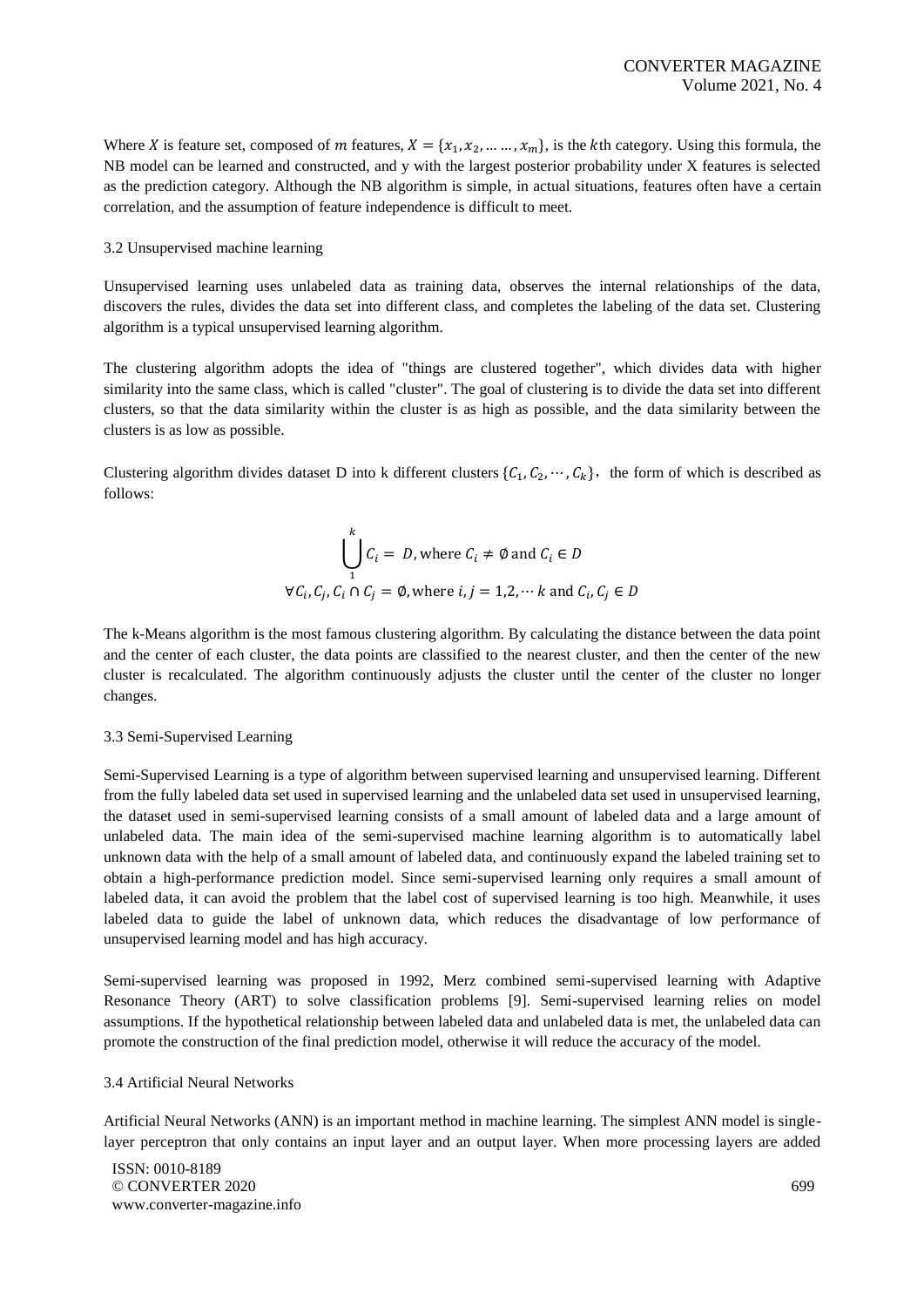Where *X* is feature set, composed of *m* features,  $X = \{x_1, x_2, ..., x_m\}$ , is the *k*th category. Using this formula, the NB model can be learned and constructed, and y with the largest posterior probability under X features is selected as the prediction category. Although the NB algorithm is simple, in actual situations, features often have a certain correlation, and the assumption of feature independence is difficult to meet.

## 3.2 Unsupervised machine learning

Unsupervised learning uses unlabeled data as training data, observes the internal relationships of the data, discovers the rules, divides the data set into different class, and completes the labeling of the data set. Clustering algorithm is a typical unsupervised learning algorithm.

The clustering algorithm adopts the idea of "things are clustered together", which divides data with higher similarity into the same class, which is called "cluster". The goal of clustering is to divide the data set into different clusters, so that the data similarity within the cluster is as high as possible, and the data similarity between the clusters is as low as possible.

Clustering algorithm divides dataset D into k different clusters  $\{C_1, C_2, \dots, C_k\}$ , the form of which is described as follows:

$$
\bigcup_{i=1}^{k} C_i = D, \text{ where } C_i \neq \emptyset \text{ and } C_i \in D
$$
  

$$
\forall C_i, C_j, C_i \cap C_j = \emptyset, \text{ where } i, j = 1, 2, \dots k \text{ and } C_i, C_j \in D
$$

The k-Means algorithm is the most famous clustering algorithm. By calculating the distance between the data point and the center of each cluster, the data points are classified to the nearest cluster, and then the center of the new cluster is recalculated. The algorithm continuously adjusts the cluster until the center of the cluster no longer changes.

#### 3.3 Semi-Supervised Learning

Semi-Supervised Learning is a type of algorithm between supervised learning and unsupervised learning. Different from the fully labeled data set used in supervised learning and the unlabeled data set used in unsupervised learning, the dataset used in semi-supervised learning consists of a small amount of labeled data and a large amount of unlabeled data. The main idea of the semi-supervised machine learning algorithm is to automatically label unknown data with the help of a small amount of labeled data, and continuously expand the labeled training set to obtain a high-performance prediction model. Since semi-supervised learning only requires a small amount of labeled data, it can avoid the problem that the label cost of supervised learning is too high. Meanwhile, it uses labeled data to guide the label of unknown data, which reduces the disadvantage of low performance of unsupervised learning model and has high accuracy.

Semi-supervised learning was proposed in 1992, Merz combined semi-supervised learning with Adaptive Resonance Theory (ART) to solve classification problems [9]. Semi-supervised learning relies on model assumptions. If the hypothetical relationship between labeled data and unlabeled data is met, the unlabeled data can promote the construction of the final prediction model, otherwise it will reduce the accuracy of the model.

## 3.4 Artificial Neural Networks

Artificial Neural Networks (ANN) is an important method in machine learning. The simplest ANN model is singlelayer perceptron that only contains an input layer and an output layer. When more processing layers are added

ISSN: 0010-8189 © CONVERTER 2020 www.converter-magazine.info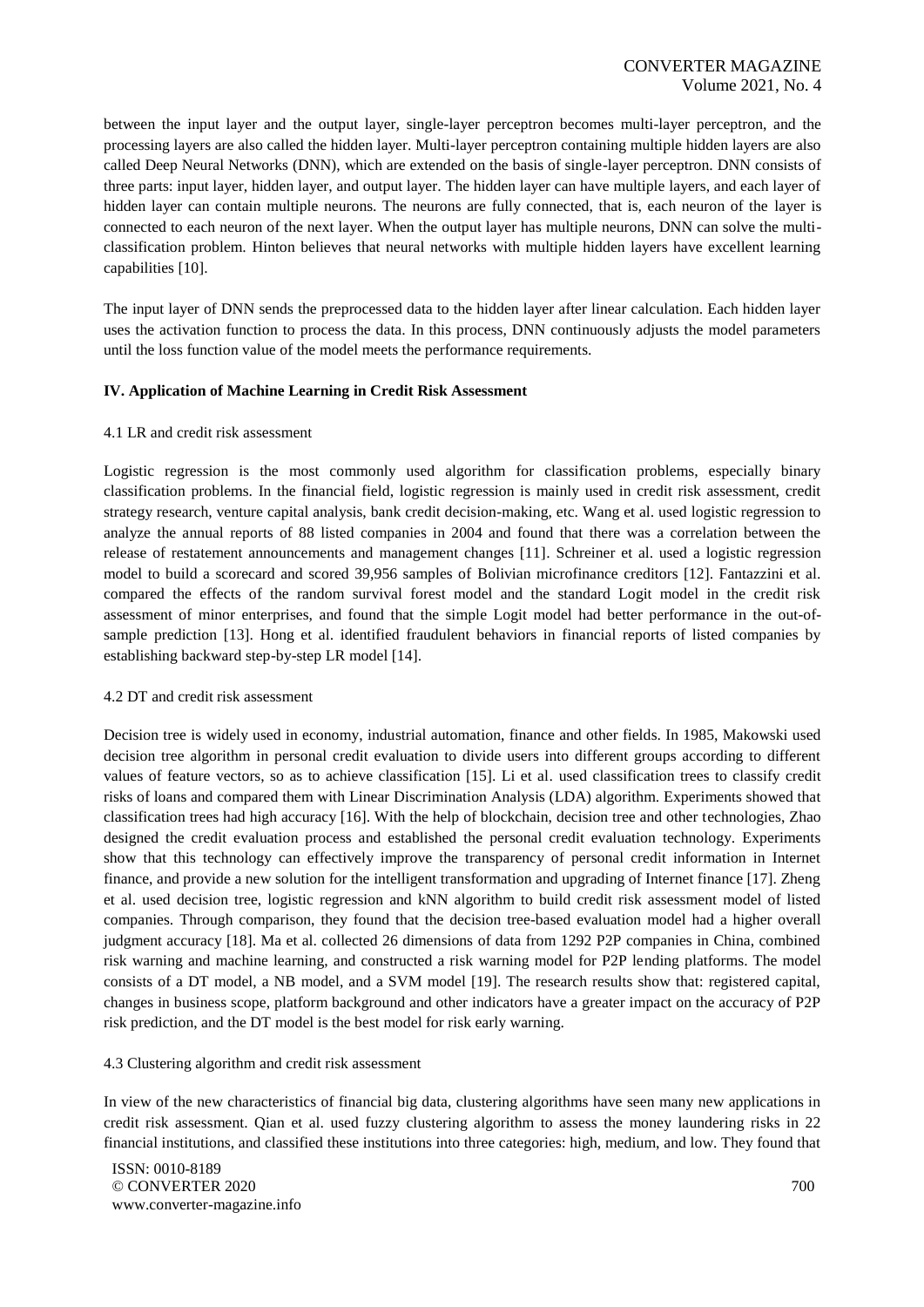between the input layer and the output layer, single-layer perceptron becomes multi-layer perceptron, and the processing layers are also called the hidden layer. Multi-layer perceptron containing multiple hidden layers are also called Deep Neural Networks (DNN), which are extended on the basis of single-layer perceptron. DNN consists of three parts: input layer, hidden layer, and output layer. The hidden layer can have multiple layers, and each layer of hidden layer can contain multiple neurons. The neurons are fully connected, that is, each neuron of the layer is connected to each neuron of the next layer. When the output layer has multiple neurons, DNN can solve the multiclassification problem. Hinton believes that neural networks with multiple hidden layers have excellent learning capabilities [10].

The input layer of DNN sends the preprocessed data to the hidden layer after linear calculation. Each hidden layer uses the activation function to process the data. In this process, DNN continuously adjusts the model parameters until the loss function value of the model meets the performance requirements.

#### **IV. Application of Machine Learning in Credit Risk Assessment**

#### 4.1 LR and credit risk assessment

Logistic regression is the most commonly used algorithm for classification problems, especially binary classification problems. In the financial field, logistic regression is mainly used in credit risk assessment, credit strategy research, venture capital analysis, bank credit decision-making, etc. Wang et al. used logistic regression to analyze the annual reports of 88 listed companies in 2004 and found that there was a correlation between the release of restatement announcements and management changes [11]. Schreiner et al. used a logistic regression model to build a scorecard and scored 39,956 samples of Bolivian microfinance creditors [12]. Fantazzini et al. compared the effects of the random survival forest model and the standard Logit model in the credit risk assessment of minor enterprises, and found that the simple Logit model had better performance in the out-ofsample prediction [13]. Hong et al. identified fraudulent behaviors in financial reports of listed companies by establishing backward step-by-step LR model [14].

#### 4.2 DT and credit risk assessment

Decision tree is widely used in economy, industrial automation, finance and other fields. In 1985, Makowski used decision tree algorithm in personal credit evaluation to divide users into different groups according to different values of feature vectors, so as to achieve classification [15]. Li et al. used classification trees to classify credit risks of loans and compared them with Linear Discrimination Analysis (LDA) algorithm. Experiments showed that classification trees had high accuracy [16]. With the help of blockchain, decision tree and other technologies, Zhao designed the credit evaluation process and established the personal credit evaluation technology. Experiments show that this technology can effectively improve the transparency of personal credit information in Internet finance, and provide a new solution for the intelligent transformation and upgrading of Internet finance [17]. Zheng et al. used decision tree, logistic regression and kNN algorithm to build credit risk assessment model of listed companies. Through comparison, they found that the decision tree-based evaluation model had a higher overall judgment accuracy [18]. Ma et al. collected 26 dimensions of data from 1292 P2P companies in China, combined risk warning and machine learning, and constructed a risk warning model for P2P lending platforms. The model consists of a DT model, a NB model, and a SVM model [19]. The research results show that: registered capital, changes in business scope, platform background and other indicators have a greater impact on the accuracy of P2P risk prediction, and the DT model is the best model for risk early warning.

## 4.3 Clustering algorithm and credit risk assessment

In view of the new characteristics of financial big data, clustering algorithms have seen many new applications in credit risk assessment. Qian et al. used fuzzy clustering algorithm to assess the money laundering risks in 22 financial institutions, and classified these institutions into three categories: high, medium, and low. They found that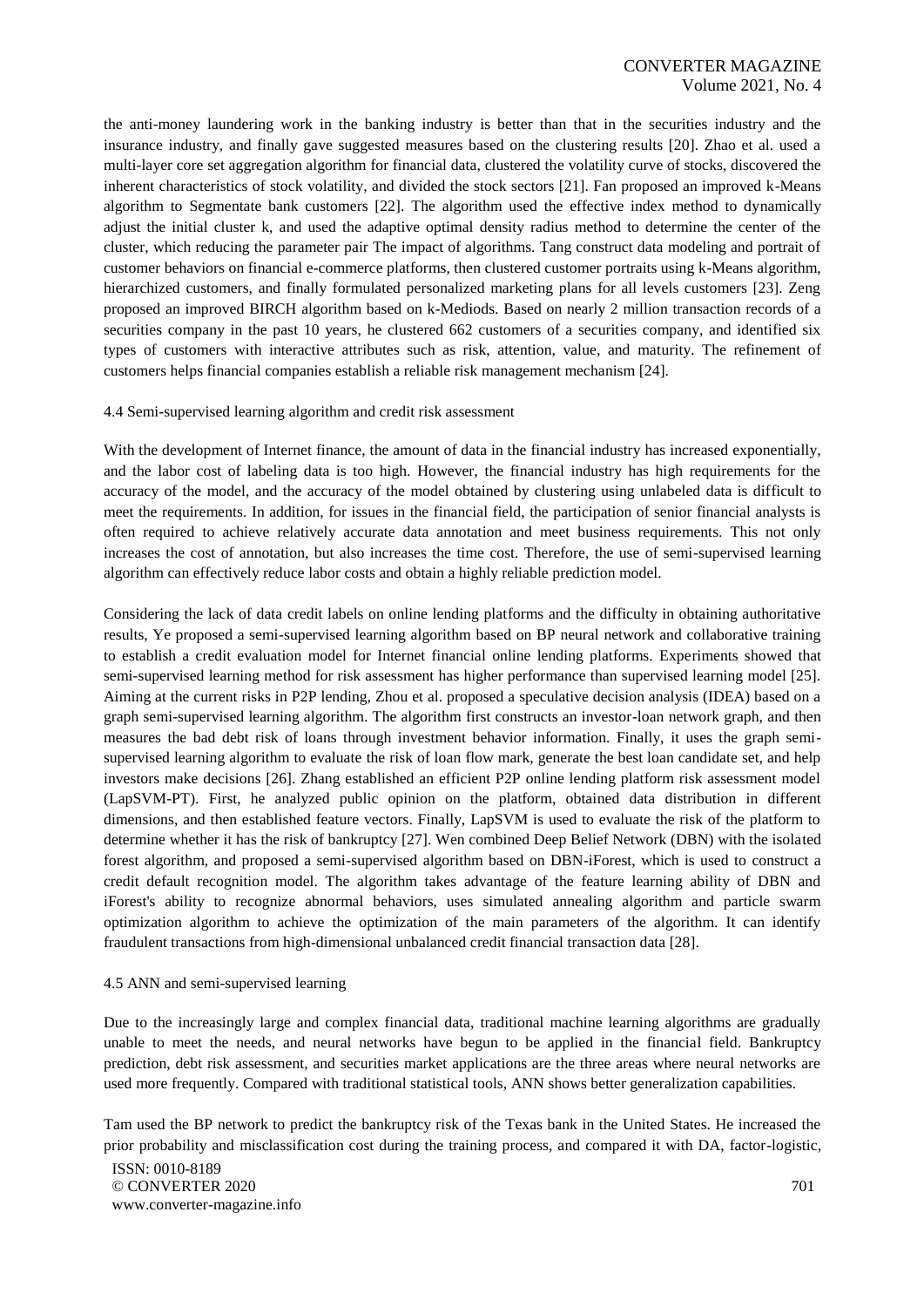the anti-money laundering work in the banking industry is better than that in the securities industry and the insurance industry, and finally gave suggested measures based on the clustering results [20]. Zhao et al. used a multi-layer core set aggregation algorithm for financial data, clustered the volatility curve of stocks, discovered the inherent characteristics of stock volatility, and divided the stock sectors [21]. Fan proposed an improved k-Means algorithm to Segmentate bank customers [22]. The algorithm used the effective index method to dynamically adjust the initial cluster k, and used the adaptive optimal density radius method to determine the center of the cluster, which reducing the parameter pair The impact of algorithms. Tang construct data modeling and portrait of customer behaviors on financial e-commerce platforms, then clustered customer portraits using k-Means algorithm, hierarchized customers, and finally formulated personalized marketing plans for all levels customers [23]. Zeng proposed an improved BIRCH algorithm based on k-Mediods. Based on nearly 2 million transaction records of a securities company in the past 10 years, he clustered 662 customers of a securities company, and identified six types of customers with interactive attributes such as risk, attention, value, and maturity. The refinement of customers helps financial companies establish a reliable risk management mechanism [24].

#### 4.4 Semi-supervised learning algorithm and credit risk assessment

With the development of Internet finance, the amount of data in the financial industry has increased exponentially, and the labor cost of labeling data is too high. However, the financial industry has high requirements for the accuracy of the model, and the accuracy of the model obtained by clustering using unlabeled data is difficult to meet the requirements. In addition, for issues in the financial field, the participation of senior financial analysts is often required to achieve relatively accurate data annotation and meet business requirements. This not only increases the cost of annotation, but also increases the time cost. Therefore, the use of semi-supervised learning algorithm can effectively reduce labor costs and obtain a highly reliable prediction model.

Considering the lack of data credit labels on online lending platforms and the difficulty in obtaining authoritative results, Ye proposed a semi-supervised learning algorithm based on BP neural network and collaborative training to establish a credit evaluation model for Internet financial online lending platforms. Experiments showed that semi-supervised learning method for risk assessment has higher performance than supervised learning model [25]. Aiming at the current risks in P2P lending, Zhou et al. proposed a speculative decision analysis (IDEA) based on a graph semi-supervised learning algorithm. The algorithm first constructs an investor-loan network graph, and then measures the bad debt risk of loans through investment behavior information. Finally, it uses the graph semisupervised learning algorithm to evaluate the risk of loan flow mark, generate the best loan candidate set, and help investors make decisions [26]. Zhang established an efficient P2P online lending platform risk assessment model (LapSVM-PT). First, he analyzed public opinion on the platform, obtained data distribution in different dimensions, and then established feature vectors. Finally, LapSVM is used to evaluate the risk of the platform to determine whether it has the risk of bankruptcy [27]. Wen combined Deep Belief Network (DBN) with the isolated forest algorithm, and proposed a semi-supervised algorithm based on DBN-iForest, which is used to construct a credit default recognition model. The algorithm takes advantage of the feature learning ability of DBN and iForest's ability to recognize abnormal behaviors, uses simulated annealing algorithm and particle swarm optimization algorithm to achieve the optimization of the main parameters of the algorithm. It can identify fraudulent transactions from high-dimensional unbalanced credit financial transaction data [28].

#### 4.5 ANN and semi-supervised learning

Due to the increasingly large and complex financial data, traditional machine learning algorithms are gradually unable to meet the needs, and neural networks have begun to be applied in the financial field. Bankruptcy prediction, debt risk assessment, and securities market applications are the three areas where neural networks are used more frequently. Compared with traditional statistical tools, ANN shows better generalization capabilities.

Tam used the BP network to predict the bankruptcy risk of the Texas bank in the United States. He increased the prior probability and misclassification cost during the training process, and compared it with DA, factor-logistic,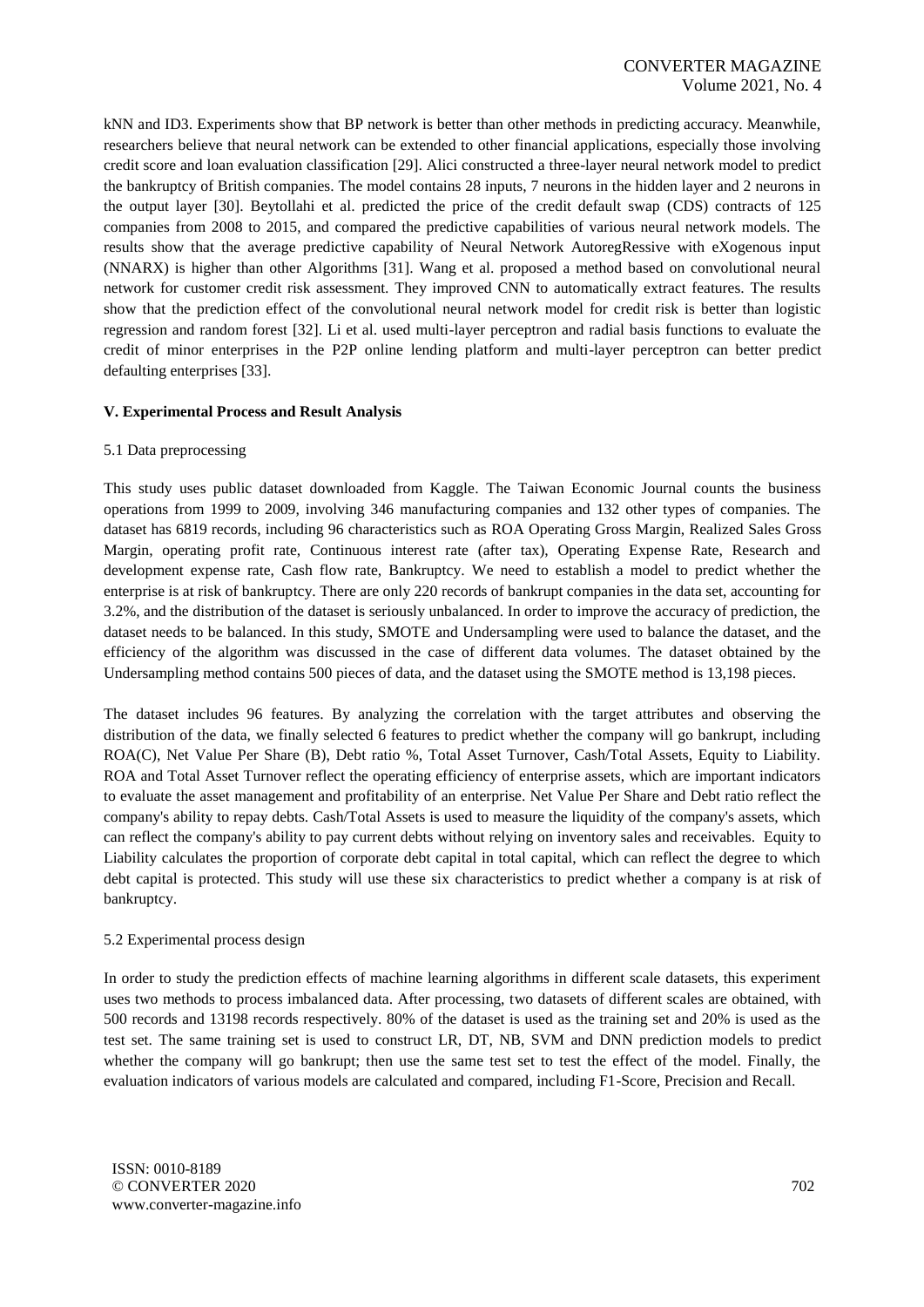kNN and ID3. Experiments show that BP network is better than other methods in predicting accuracy. Meanwhile, researchers believe that neural network can be extended to other financial applications, especially those involving credit score and loan evaluation classification [29]. Alici constructed a three-layer neural network model to predict the bankruptcy of British companies. The model contains 28 inputs, 7 neurons in the hidden layer and 2 neurons in the output layer [30]. Beytollahi et al. predicted the price of the credit default swap (CDS) contracts of 125 companies from 2008 to 2015, and compared the predictive capabilities of various neural network models. The results show that the average predictive capability of Neural Network AutoregRessive with eXogenous input (NNARX) is higher than other Algorithms [31]. Wang et al. proposed a method based on convolutional neural network for customer credit risk assessment. They improved CNN to automatically extract features. The results show that the prediction effect of the convolutional neural network model for credit risk is better than logistic regression and random forest [32]. Li et al. used multi-layer perceptron and radial basis functions to evaluate the credit of minor enterprises in the P2P online lending platform and multi-layer perceptron can better predict defaulting enterprises [33].

## **V. Experimental Process and Result Analysis**

## 5.1 Data preprocessing

This study uses public dataset downloaded from Kaggle. The Taiwan Economic Journal counts the business operations from 1999 to 2009, involving 346 manufacturing companies and 132 other types of companies. The dataset has 6819 records, including 96 characteristics such as ROA Operating Gross Margin, Realized Sales Gross Margin, operating profit rate, Continuous interest rate (after tax), Operating Expense Rate, Research and development expense rate, Cash flow rate, Bankruptcy. We need to establish a model to predict whether the enterprise is at risk of bankruptcy. There are only 220 records of bankrupt companies in the data set, accounting for 3.2%, and the distribution of the dataset is seriously unbalanced. In order to improve the accuracy of prediction, the dataset needs to be balanced. In this study, SMOTE and Undersampling were used to balance the dataset, and the efficiency of the algorithm was discussed in the case of different data volumes. The dataset obtained by the Undersampling method contains 500 pieces of data, and the dataset using the SMOTE method is 13,198 pieces.

The dataset includes 96 features. By analyzing the correlation with the target attributes and observing the distribution of the data, we finally selected 6 features to predict whether the company will go bankrupt, including ROA(C), Net Value Per Share (B), Debt ratio %, Total Asset Turnover, Cash/Total Assets, Equity to Liability. ROA and Total Asset Turnover reflect the operating efficiency of enterprise assets, which are important indicators to evaluate the asset management and profitability of an enterprise. Net Value Per Share and Debt ratio reflect the company's ability to repay debts. Cash/Total Assets is used to measure the liquidity of the company's assets, which can reflect the company's ability to pay current debts without relying on inventory sales and receivables. Equity to Liability calculates the proportion of corporate debt capital in total capital, which can reflect the degree to which debt capital is protected. This study will use these six characteristics to predict whether a company is at risk of bankruptcy.

## 5.2 Experimental process design

In order to study the prediction effects of machine learning algorithms in different scale datasets, this experiment uses two methods to process imbalanced data. After processing, two datasets of different scales are obtained, with 500 records and 13198 records respectively. 80% of the dataset is used as the training set and 20% is used as the test set. The same training set is used to construct LR, DT, NB, SVM and DNN prediction models to predict whether the company will go bankrupt; then use the same test set to test the effect of the model. Finally, the evaluation indicators of various models are calculated and compared, including F1-Score, Precision and Recall.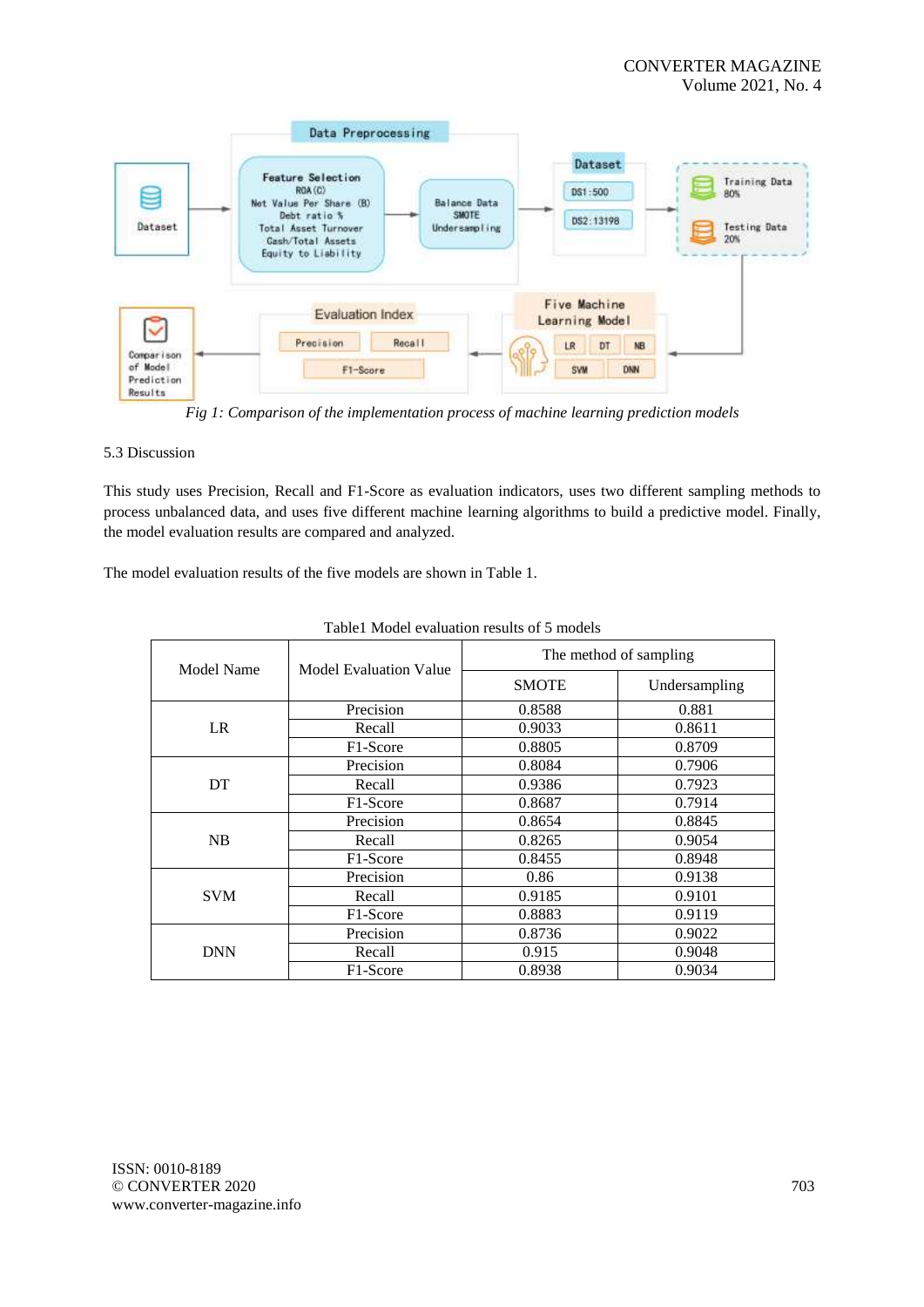

*Fig 1: Comparison of the implementation process of machine learning prediction models*

## 5.3 Discussion

This study uses Precision, Recall and F1-Score as evaluation indicators, uses two different sampling methods to process unbalanced data, and uses five different machine learning algorithms to build a predictive model. Finally, the model evaluation results are compared and analyzed.

The model evaluation results of the five models are shown in Table 1.

| Model Name | Model Evaluation Value | The method of sampling |               |  |
|------------|------------------------|------------------------|---------------|--|
|            |                        | <b>SMOTE</b>           | Undersampling |  |
| LR         | Precision              | 0.8588                 | 0.881         |  |
|            | Recall                 | 0.9033                 | 0.8611        |  |
|            | F1-Score               | 0.8805                 | 0.8709        |  |
| DT         | Precision              | 0.8084                 | 0.7906        |  |
|            | Recall                 | 0.9386                 | 0.7923        |  |
|            | F1-Score               | 0.8687                 | 0.7914        |  |
| NB         | Precision              | 0.8654                 | 0.8845        |  |
|            | Recall                 | 0.8265                 | 0.9054        |  |
|            | F1-Score               | 0.8455                 | 0.8948        |  |
| <b>SVM</b> | Precision              | 0.86                   | 0.9138        |  |
|            | Recall                 | 0.9185                 | 0.9101        |  |
|            | F1-Score               | 0.8883                 | 0.9119        |  |
| <b>DNN</b> | Precision              | 0.8736                 | 0.9022        |  |
|            | Recall                 | 0.915                  | 0.9048        |  |
|            | F1-Score               | 0.8938                 | 0.9034        |  |

|  |  |  | Table1 Model evaluation results of 5 models |  |  |  |
|--|--|--|---------------------------------------------|--|--|--|
|--|--|--|---------------------------------------------|--|--|--|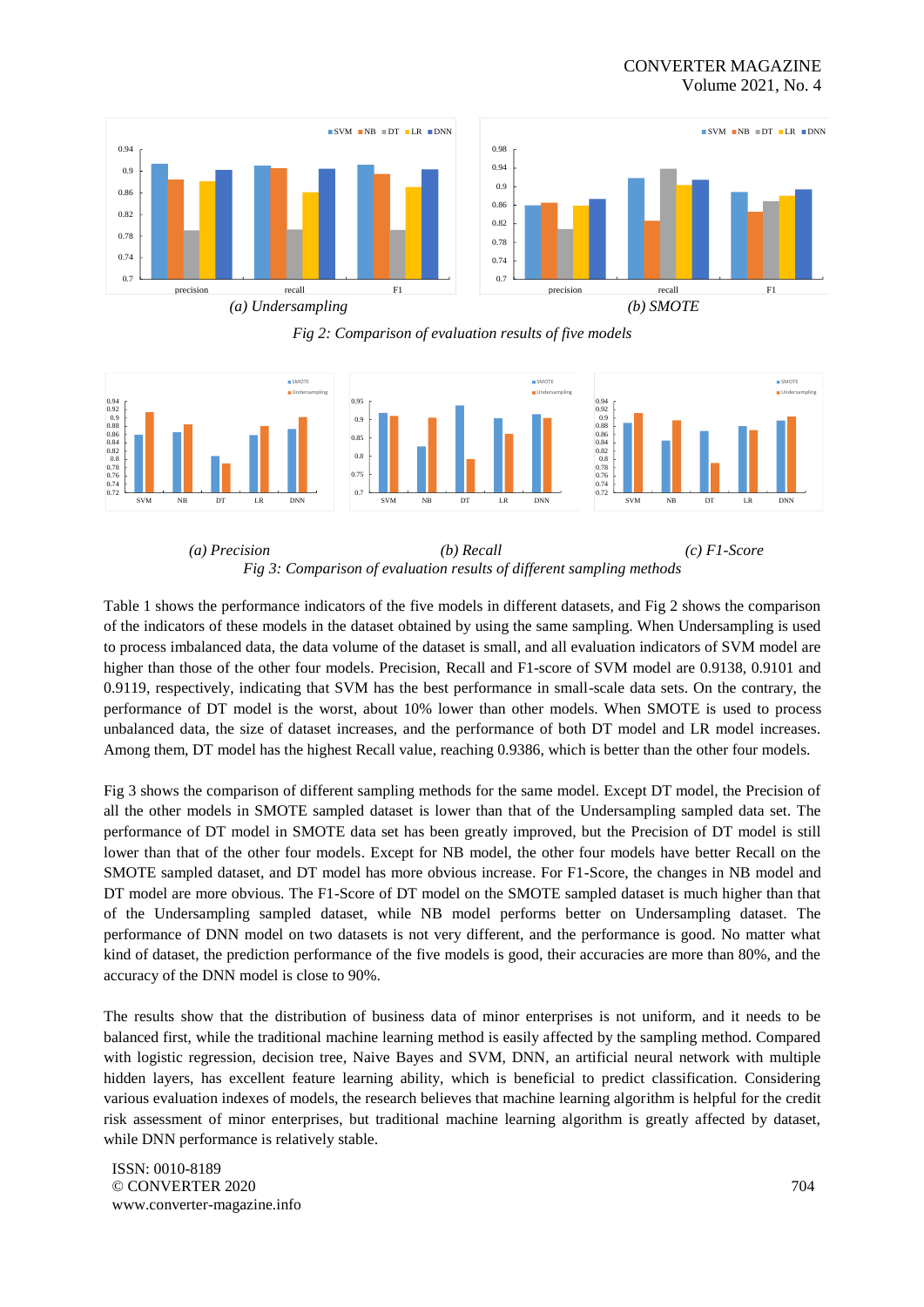## CONVERTER MAGAZINE Volume 2021, No. 4



*Fig 2: Comparison of evaluation results of five models*



*(a) Precision (b) Recall (c) F1-Score Fig 3: Comparison of evaluation results of different sampling methods*

Table 1 shows the performance indicators of the five models in different datasets, and Fig 2 shows the comparison of the indicators of these models in the dataset obtained by using the same sampling. When Undersampling is used to process imbalanced data, the data volume of the dataset is small, and all evaluation indicators of SVM model are higher than those of the other four models. Precision, Recall and F1-score of SVM model are 0.9138, 0.9101 and 0.9119, respectively, indicating that SVM has the best performance in small-scale data sets. On the contrary, the performance of DT model is the worst, about 10% lower than other models. When SMOTE is used to process unbalanced data, the size of dataset increases, and the performance of both DT model and LR model increases. Among them, DT model has the highest Recall value, reaching 0.9386, which is better than the other four models.

Fig 3 shows the comparison of different sampling methods for the same model. Except DT model, the Precision of all the other models in SMOTE sampled dataset is lower than that of the Undersampling sampled data set. The performance of DT model in SMOTE data set has been greatly improved, but the Precision of DT model is still lower than that of the other four models. Except for NB model, the other four models have better Recall on the SMOTE sampled dataset, and DT model has more obvious increase. For F1-Score, the changes in NB model and DT model are more obvious. The F1-Score of DT model on the SMOTE sampled dataset is much higher than that of the Undersampling sampled dataset, while NB model performs better on Undersampling dataset. The performance of DNN model on two datasets is not very different, and the performance is good. No matter what kind of dataset, the prediction performance of the five models is good, their accuracies are more than 80%, and the accuracy of the DNN model is close to 90%.

The results show that the distribution of business data of minor enterprises is not uniform, and it needs to be balanced first, while the traditional machine learning method is easily affected by the sampling method. Compared with logistic regression, decision tree, Naive Bayes and SVM, DNN, an artificial neural network with multiple hidden layers, has excellent feature learning ability, which is beneficial to predict classification. Considering various evaluation indexes of models, the research believes that machine learning algorithm is helpful for the credit risk assessment of minor enterprises, but traditional machine learning algorithm is greatly affected by dataset, while DNN performance is relatively stable.

ISSN: 0010-8189 © CONVERTER 2020 www.converter-magazine.info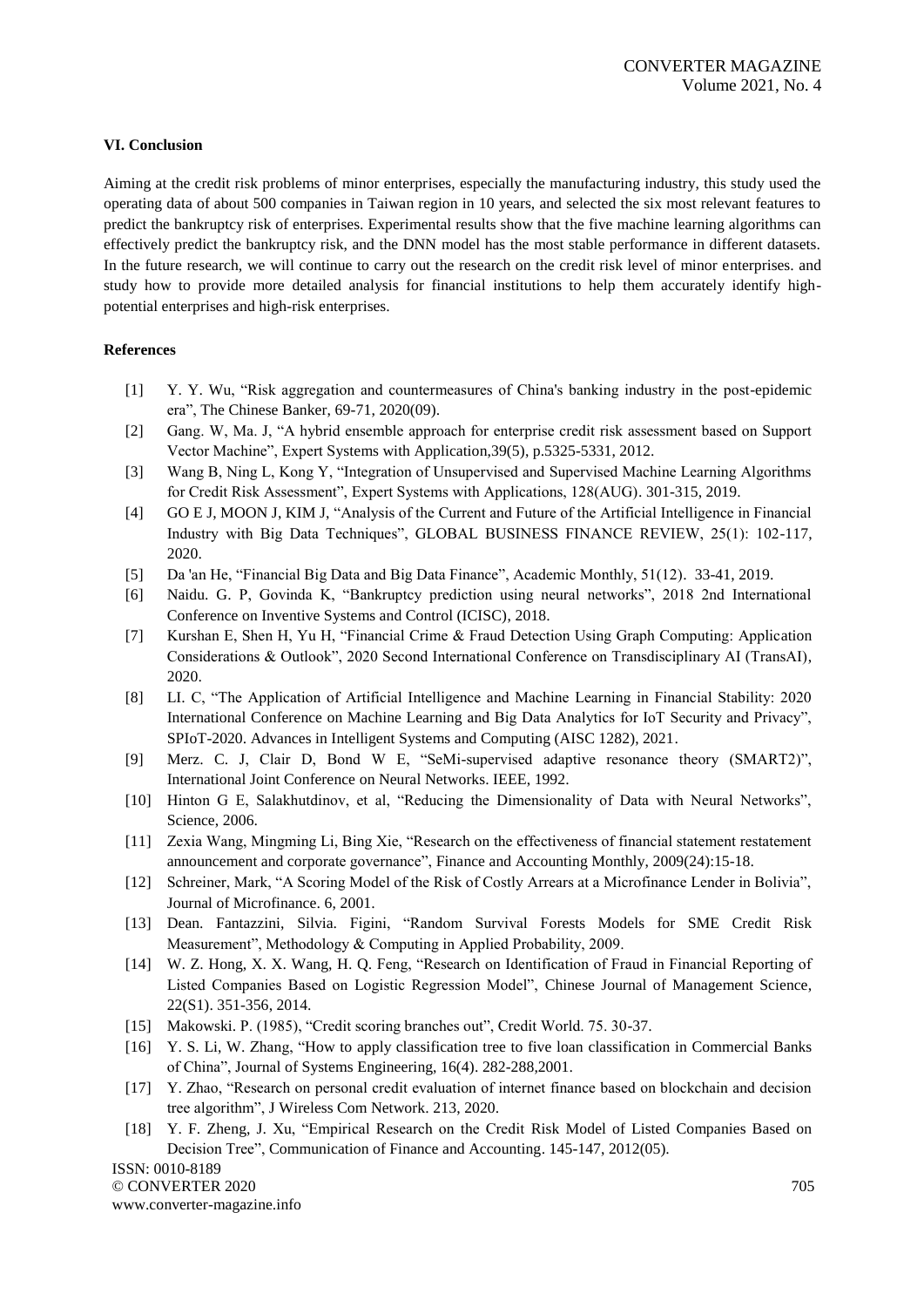## **VI. Conclusion**

Aiming at the credit risk problems of minor enterprises, especially the manufacturing industry, this study used the operating data of about 500 companies in Taiwan region in 10 years, and selected the six most relevant features to predict the bankruptcy risk of enterprises. Experimental results show that the five machine learning algorithms can effectively predict the bankruptcy risk, and the DNN model has the most stable performance in different datasets. In the future research, we will continue to carry out the research on the credit risk level of minor enterprises. and study how to provide more detailed analysis for financial institutions to help them accurately identify highpotential enterprises and high-risk enterprises.

## **References**

- [1] Y. Y. Wu, "Risk aggregation and countermeasures of China's banking industry in the post-epidemic era", The Chinese Banker, 69-71, 2020(09).
- [2] Gang. W, Ma. J, "A hybrid ensemble approach for enterprise credit risk assessment based on Support Vector Machine", Expert Systems with Application,39(5), p.5325-5331, 2012.
- [3] Wang B, Ning L, Kong Y, "Integration of Unsupervised and Supervised Machine Learning Algorithms for Credit Risk Assessment", Expert Systems with Applications, 128(AUG). 301-315, 2019.
- [4] GO E J, MOON J, KIM J, "Analysis of the Current and Future of the Artificial Intelligence in Financial Industry with Big Data Techniques", GLOBAL BUSINESS FINANCE REVIEW, 25(1): 102-117, 2020.
- [5] Da 'an He, "Financial Big Data and Big Data Finance", Academic Monthly, 51(12). 33-41, 2019.
- [6] Naidu. G. P, Govinda K, "Bankruptcy prediction using neural networks", 2018 2nd International Conference on Inventive Systems and Control (ICISC), 2018.
- [7] Kurshan E, Shen H, Yu H, "Financial Crime & Fraud Detection Using Graph Computing: Application Considerations & Outlook", 2020 Second International Conference on Transdisciplinary AI (TransAI), 2020.
- [8] LI. C, "The Application of Artificial Intelligence and Machine Learning in Financial Stability: 2020 International Conference on Machine Learning and Big Data Analytics for IoT Security and Privacy", SPIoT-2020. Advances in Intelligent Systems and Computing (AISC 1282), 2021.
- [9] Merz. C. J, Clair D, Bond W E, "SeMi-supervised adaptive resonance theory (SMART2)", International Joint Conference on Neural Networks. IEEE, 1992.
- [10] Hinton G E, Salakhutdinov, et al, "Reducing the Dimensionality of Data with Neural Networks", Science, 2006.
- [11] Zexia Wang, Mingming Li, Bing Xie, "Research on the effectiveness of financial statement restatement announcement and corporate governance", Finance and Accounting Monthly, 2009(24):15-18.
- [12] Schreiner, Mark, "A Scoring Model of the Risk of Costly Arrears at a Microfinance Lender in Bolivia", Journal of Microfinance. 6, 2001.
- [13] Dean. Fantazzini, Silvia. Figini, "Random Survival Forests Models for SME Credit Risk Measurement", Methodology & Computing in Applied Probability, 2009.
- [14] W. Z. Hong, X. X. Wang, H. Q. Feng, "Research on Identification of Fraud in Financial Reporting of Listed Companies Based on Logistic Regression Model", Chinese Journal of Management Science, 22(S1). 351-356, 2014.
- [15] Makowski. P. (1985), "Credit scoring branches out", Credit World. 75. 30-37.
- [16] Y. S. Li, W. Zhang, "How to apply classification tree to five loan classification in Commercial Banks of China", Journal of Systems Engineering, 16(4). 282-288,2001.
- [17] Y. Zhao, "Research on personal credit evaluation of internet finance based on blockchain and decision tree algorithm", J Wireless Com Network. 213, 2020.
- [18] Y. F. Zheng, J. Xu, "Empirical Research on the Credit Risk Model of Listed Companies Based on Decision Tree", Communication of Finance and Accounting. 145-147, 2012(05).